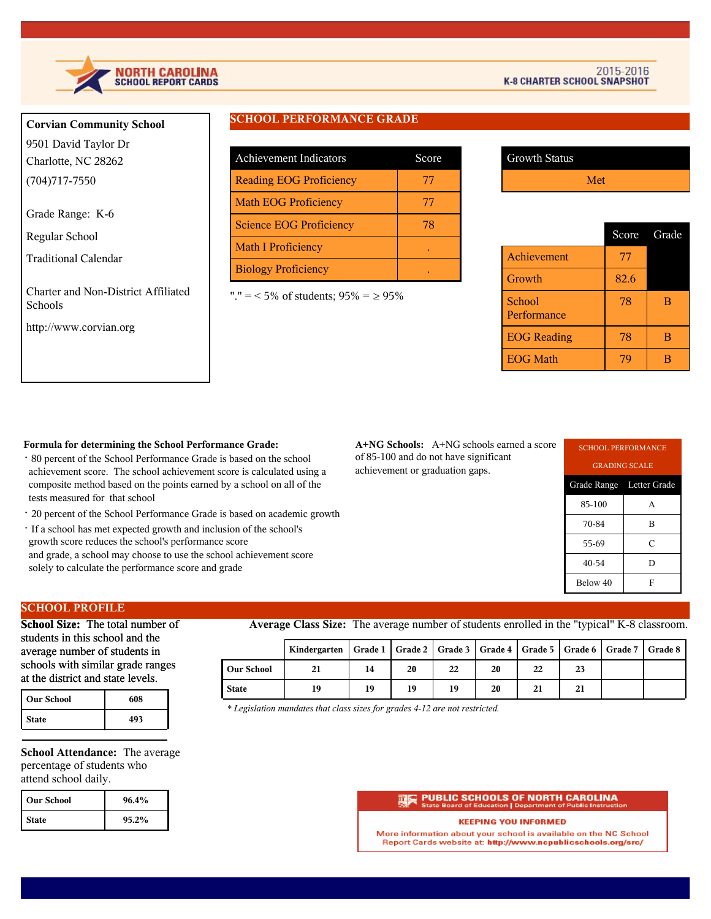

# **Corvian Community School** 9501 David Taylor Dr

Charlotte, NC 28262 (704)717-7550

Grade Range: K-6

Regular School

Traditional Calendar

Charter and Non-District Affiliated Schools

http://www.corvian.org

# **SCHOOL PERFORMANCE GRADE**

| <b>Achievement Indicators</b>  | Score |
|--------------------------------|-------|
| <b>Reading EOG Proficiency</b> | 77    |
| <b>Math EOG Proficiency</b>    | 77    |
| <b>Science EOG Proficiency</b> | 78    |
| <b>Math I Proficiency</b>      |       |
| <b>Biology Proficiency</b>     |       |

"." = < 5% of students;  $95\% = \ge 95\%$ 

| <b>Growth Status</b> |     |
|----------------------|-----|
|                      | Met |

|                       |      | Score Grade |
|-----------------------|------|-------------|
| <b>Achievement</b>    | 77   |             |
| Growth                | 82.6 |             |
| School<br>Performance | 78   | в           |
| <b>EOG</b> Reading    | 78   | в           |
| <b>EOG Math</b>       |      |             |

### **Formula for determining the School Performance Grade:**

- · 80 percent of the School Performance Grade is based on the school achievement score. The school achievement score is calculated using a composite method based on the points earned by a school on all of the tests measured for that school
- · 20 percent of the School Performance Grade is based on academic growth
- · If a school has met expected growth and inclusion of the school's growth score reduces the school's performance score and grade, a school may choose to use the school achievement score solely to calculate the performance score and grade

**A+NG Schools:** A+NG schools earned a score of 85-100 and do not have significant achievement or graduation gaps.

| <b>SCHOOL PERFORMANCE</b> |   |  |  |  |
|---------------------------|---|--|--|--|
| <b>GRADING SCALE</b>      |   |  |  |  |
| Grade Range Letter Grade  |   |  |  |  |
| 85-100                    | A |  |  |  |
| 70-84                     | в |  |  |  |
| 55-69                     | C |  |  |  |
| 40-54                     | D |  |  |  |
| Below 40<br>F             |   |  |  |  |

# **SCHOOL PROFILE**

**School Size:** The total number of students in this school and the average number of students in schools with similar grade ranges at the district and state levels.

| <b>Our School</b> | 608 |
|-------------------|-----|
| <b>State</b>      | 493 |

**School Attendance:** The average percentage of students who attend school daily.

| l Our School | 96.4% |
|--------------|-------|
| <b>State</b> | 95.2% |

**Average Class Size:** The average number of students enrolled in the "typical" K-8 classroom.

|                   | Kindergarten   Grade 1   Grade 2   Grade 3   Grade 4   Grade 5   Grade 6   Grade 7   Grade 8 |    |    |    |    |    |    |  |
|-------------------|----------------------------------------------------------------------------------------------|----|----|----|----|----|----|--|
| <b>Our School</b> | 21                                                                                           | 14 | 20 | 22 | 20 | 22 | 23 |  |
| <b>State</b>      | 19                                                                                           | 19 | 19 | 19 | 20 | 21 | 21 |  |

*\* Legislation mandates that class sizes for grades 4-12 are not restricted.*

### PUBLIC SCHOOLS OF NORTH CAROLINA

#### **KEEPING YOU INFORMED**

More information about your school is available on the NC School Report Cards website at: http://www.ncpublicschools.org/src/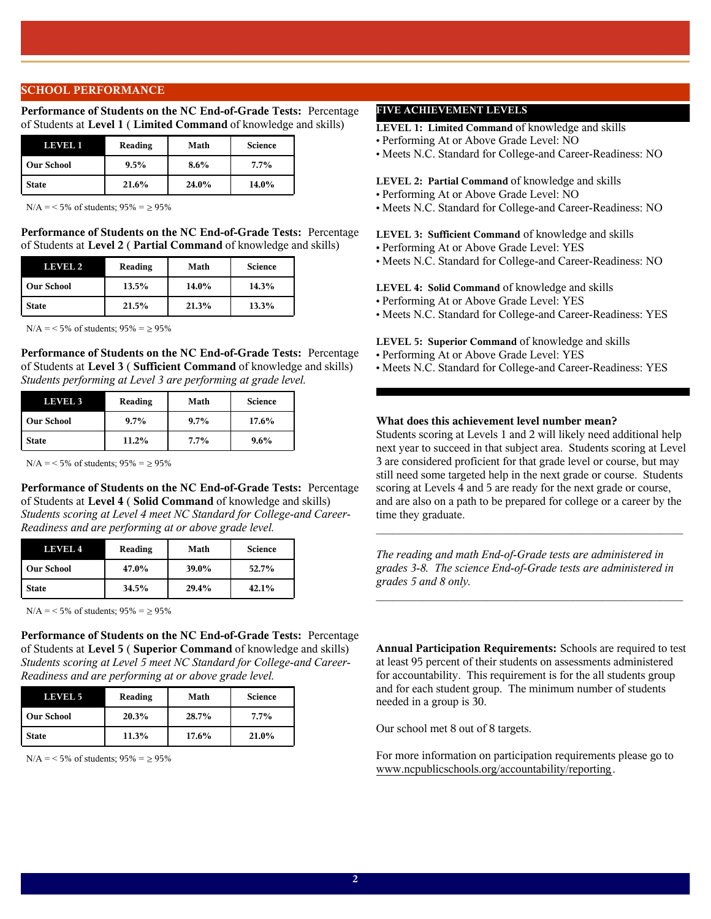# **SCHOOL PERFORMANCE**

**Performance of Students on the NC End-of-Grade Tests:** Percentage of Students at **Level 1** ( **Limited Command** of knowledge and skills)

| LEVELI            | Reading | Math    | <b>Science</b> |
|-------------------|---------|---------|----------------|
| <b>Our School</b> | $9.5\%$ | $8.6\%$ | $7.7\%$        |
| <b>State</b>      | 21.6%   | 24.0%   | 14.0%          |

 $N/A = 5\%$  of students;  $95\% = \ge 95\%$ 

**Performance of Students on the NC End-of-Grade Tests:** Percentage of Students at **Level 2** ( **Partial Command** of knowledge and skills)

| LEVEL 2           | Reading | Math  | <b>Science</b> |
|-------------------|---------|-------|----------------|
| <b>Our School</b> | 13.5%   | 14.0% | 14.3%          |
| <b>State</b>      | 21.5%   | 21.3% | 13.3%          |

 $N/A = 5\%$  of students;  $95\% = \geq 95\%$ 

**Performance of Students on the NC End-of-Grade Tests:** Percentage of Students at **Level 3** ( **Sufficient Command** of knowledge and skills) *Students performing at Level 3 are performing at grade level.*

| LEVEL 3           | Reading | Math    | <b>Science</b> |
|-------------------|---------|---------|----------------|
| <b>Our School</b> | $9.7\%$ | $9.7\%$ | 17.6%          |
| <b>State</b>      | 11.2%   | $7.7\%$ | $9.6\%$        |

 $N/A = 5\%$  of students;  $95\% = 95\%$ 

**Performance of Students on the NC End-of-Grade Tests:** Percentage of Students at **Level 4** ( **Solid Command** of knowledge and skills) *Students scoring at Level 4 meet NC Standard for College-and Career-Readiness and are performing at or above grade level.*

| LEVEL 4           | Reading | Math  | <b>Science</b> |
|-------------------|---------|-------|----------------|
| <b>Our School</b> | 47.0%   | 39.0% | 52.7%          |
| <b>State</b>      | 34.5%   | 29.4% | 42.1%          |

 $N/A = 5\%$  of students;  $95\% = \ge 95\%$ 

**Performance of Students on the NC End-of-Grade Tests:** Percentage of Students at **Level 5** ( **Superior Command** of knowledge and skills) *Students scoring at Level 5 meet NC Standard for College-and Career-Readiness and are performing at or above grade level.*

| LEVEL 5           | Reading | Math  | <b>Science</b> |
|-------------------|---------|-------|----------------|
| <b>Our School</b> | 20.3%   | 28.7% | $7.7\%$        |
| <b>State</b>      | 11.3%   | 17.6% | 21.0%          |

 $N/A = 5\%$  of students;  $95\% = \ge 95\%$ 

# **FIVE ACHIEVEMENT LEVELS**

**LEVEL 1: Limited Command** of knowledge and skills

- Performing At or Above Grade Level: NO
- Meets N.C. Standard for College-and Career-Readiness: NO

#### **LEVEL 2: Partial Command** of knowledge and skills

- Performing At or Above Grade Level: NO
- Meets N.C. Standard for College-and Career-Readiness: NO

**LEVEL 3: Sufficient Command** of knowledge and skills

- Performing At or Above Grade Level: YES
- Meets N.C. Standard for College-and Career-Readiness: NO

#### **LEVEL 4: Solid Command** of knowledge and skills

- Performing At or Above Grade Level: YES
- Meets N.C. Standard for College-and Career-Readiness: YES
- **LEVEL 5: Superior Command** of knowledge and skills
- Performing At or Above Grade Level: YES
- Meets N.C. Standard for College-and Career-Readiness: YES

# **What does this achievement level number mean?**

Students scoring at Levels 1 and 2 will likely need additional help next year to succeed in that subject area. Students scoring at Level 3 are considered proficient for that grade level or course, but may still need some targeted help in the next grade or course. Students scoring at Levels 4 and 5 are ready for the next grade or course, and are also on a path to be prepared for college or a career by the time they graduate.

*The reading and math End-of-Grade tests are administered in grades 3-8. The science End-of-Grade tests are administered in grades 5 and 8 only.*

 $\mathcal{L}_\text{max}$  and  $\mathcal{L}_\text{max}$  and  $\mathcal{L}_\text{max}$  and  $\mathcal{L}_\text{max}$  and  $\mathcal{L}_\text{max}$ 

 $\mathcal{L}_\text{max}$  and the contract of the contract of the contract of the contract of the contract of the contract of the contract of the contract of the contract of the contract of the contract of the contract of the contrac

**Annual Participation Requirements:** Schools are required to test at least 95 percent of their students on assessments administered for accountability. This requirement is for the all students group and for each student group. The minimum number of students needed in a group is 30.

Our school met 8 out of 8 targets.

For more information on participation requirements please go to www.ncpublicschools.org/accountability/reporting.